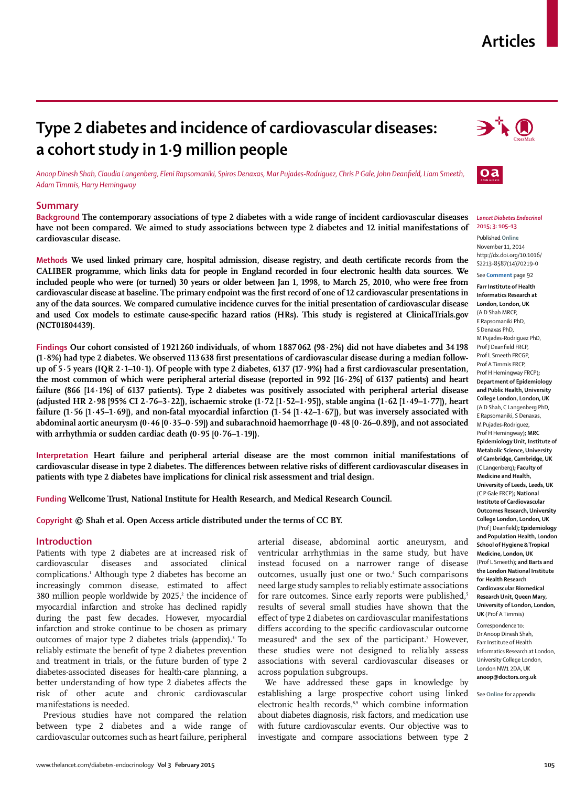# **Articles**

# **Type 2 diabetes and incidence of cardiovascular diseases: a cohort study in 1·9 million people**

*Anoop Dinesh Shah, Claudia Langenberg, Eleni Rapsomaniki, Spiros Denaxas, Mar Pujades-Rodriguez, Chris P Gale, John Deanfi eld, Liam Smeeth, Adam Timmis, Harry Hemingway*

## **Summary**

**Background The contemporary associations of type 2 diabetes with a wide range of incident cardiovascular diseases have not been compared. We aimed to study associations between type 2 diabetes and 12 initial manifestations of cardiovascular disease.**

Methods We used linked primary care, hospital admission, disease registry, and death certificate records from the **CALIBER programme, which links data for people in England recorded in four electronic health data sources. We included people who were (or turned) 30 years or older between Jan 1, 1998, to March 25, 2010, who were free from**  cardiovascular disease at baseline. The primary endpoint was the first record of one of 12 cardiovascular presentations in **any of the data sources. We compared cumulative incidence curves for the initial presentation of cardiovascular disease**  and used Cox models to estimate cause-specific hazard ratios (HRs). This study is registered at ClinicalTrials.gov **(NCT01804439).**

**Findings Our cohort consisted of 1 921 260 individuals, of whom 1 887 062 (98·2%) did not have diabetes and 34 198 (1·8%) had type 2 diabetes. We observed 113 638 first presentations of cardiovascular disease during a median follow**up of 5·5 years (IQR 2·1-10·1). Of people with type 2 diabetes, 6137 (17·9%) had a first cardiovascular presentation, **the most common of which were peripheral arterial disease (reported in 992 [16·2%] of 6137 patients) and heart failure (866 [14·1%] of 6137 patients). Type 2 diabetes was positively associated with peripheral arterial disease (adjusted HR 2·98 [95% CI 2·76–3·22]), ischaemic stroke (1·72 [1·52–1·95]), stable angina (1·62 [1·49–1·77]), heart failure (1·56 [1·45–1·69]), and non-fatal myocardial infarction (1·54 [1·42–1·67]), but was inversely associated with abdominal aortic aneurysm (0·46 [0·35–0·59]) and subarachnoid haemorrhage (0·48 [0·26–0.89]), and not associated with arrhythmia or sudden cardiac death (0·95 [0·76–1·19]).**

**Interpretation Heart failure and peripheral arterial disease are the most common initial manifestations of**  cardiovascular disease in type 2 diabetes. The differences between relative risks of different cardiovascular diseases in **patients with type 2 diabetes have implications for clinical risk assessment and trial design.**

**Funding Wellcome Trust, National Institute for Health Research, and Medical Research Council.**

**Copyright © Shah et al. Open Access article distributed under the terms of CC BY.**

## **Introduction**

Patients with type 2 diabetes are at increased risk of cardiovascular diseases and associated clinical complications.1 Although type 2 diabetes has become an increasingly common disease, estimated to affect  $380$  million people worldwide by  $2025$ , the incidence of myocardial infarction and stroke has declined rapidly during the past few decades. However, myocardial infarction and stroke continue to be chosen as primary outcomes of major type 2 diabetes trials (appendix).<sup>3</sup> To reliably estimate the benefit of type 2 diabetes prevention and treatment in trials, or the future burden of type 2 diabetes-associated diseases for health-care planning, a better understanding of how type 2 diabetes affects the risk of other acute and chronic cardiovascular manifestations is needed.

Previous studies have not compared the relation between type 2 diabetes and a wide range of cardiovascular outcomes such as heart failure, peripheral arterial disease, abdominal aortic aneurysm, and ventricular arrhythmias in the same study, but have instead focused on a narrower range of disease outcomes, usually just one or two.<sup>4</sup> Such comparisons need large study samples to reliably estimate associations for rare outcomes. Since early reports were published,<sup>5</sup> results of several small studies have shown that the effect of type 2 diabetes on cardiovascular manifestations differs according to the specific cardiovascular outcome measured<sup>6</sup> and the sex of the participant.<sup>7</sup> However, these studies were not designed to reliably assess associations with several cardiovascular diseases or across population subgroups.

We have addressed these gaps in knowledge by establishing a large prospective cohort using linked electronic health records,<sup>8,9</sup> which combine information about diabetes diagnosis, risk factors, and medication use with future cardiovascular events. Our objective was to investigate and compare associations between type 2





#### *Lancet Diabetes Endocrinol* **2015; 3: 105–13**

Published **Online** November 11, 2014 http://dx.doi.org/10.1016/ S2213-8587(14)70219-0

## See **Comment** page 92

**Farr Institute of Health Informatics Research at London, London, UK** (A D Shah MRCP, E Rapsomaniki PhD, S Denaxas PhD, M Pujades-Rodriguez PhD, Prof I Deanfield FRCP. Prof L Smeeth FRCGP, Prof A Timmis FRCP, Prof H Hemingway FRCP)**; Department of Epidemiology and Public Health, University College London, London, UK** (A D Shah, C Langenberg PhD, E Rapsomaniki, S Denaxas, M Pujades-Rodriguez, Prof H Hemingway)**; MRC Epidemiology Unit, Institute of Metabolic Science, University of Cambridge, Cambridge, UK** (C Langenberg)**; Faculty of Medicine and Health, University of Leeds, Leeds, UK** (C P Gale FRCP)**; National Institute of Cardiovascular Outcomes Research, University College London, London, UK** (Prof J Deanfi eld)**; Epidemiology and Population Health, London School of Hygiene & Tropical Medicine, London, UK** (Prof L Smeeth)**; and Barts and the London National Institute for Health Research Cardiovascular Biomedical Research Unit, Queen Mary, University of London, London, UK** (Prof A Timmis)

Correspondence to: Dr Anoop Dinesh Shah, Farr Institute of Health Informatics Research at London, University College London, London NW1 2DA, UK **anoop@doctors.org.uk**

See **Online** for appendix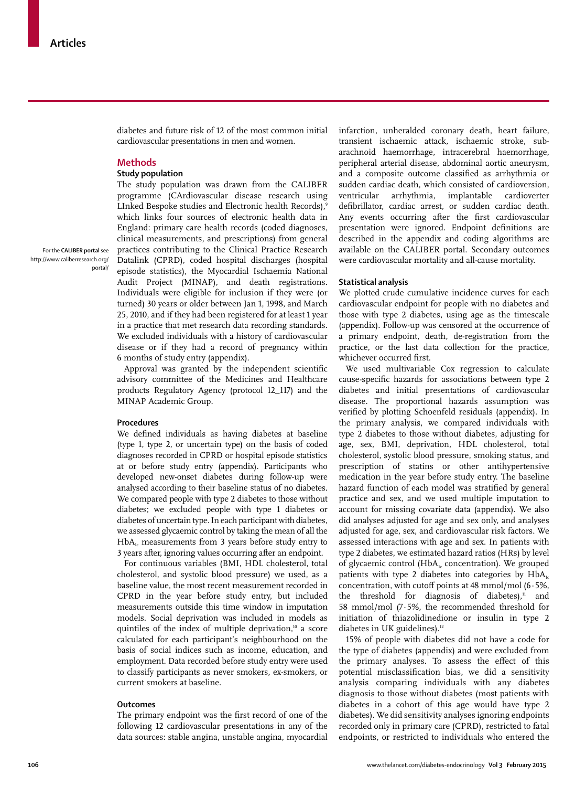diabetes and future risk of 12 of the most common initial cardiovascular presentations in men and women.

# **Methods**

# **Study population**

The study population was drawn from the CALIBER programme (CArdiovascular disease research using LInked Bespoke studies and Electronic health Records),9 which links four sources of electronic health data in England: primary care health records (coded diagnoses, clinical measurements, and prescriptions) from general practices contributing to the Clinical Practice Research Datalink (CPRD), coded hospital discharges (hospital episode statistics), the Myocardial Ischaemia National Audit Project (MINAP), and death registrations. Individuals were eligible for inclusion if they were (or turned) 30 years or older between Jan 1, 1998, and March 25, 2010, and if they had been registered for at least 1 year in a practice that met research data recording standards. We excluded individuals with a history of cardiovascular disease or if they had a record of pregnancy within 6 months of study entry (appendix).

Approval was granted by the independent scientific advisory committee of the Medicines and Healthcare products Regulatory Agency (protocol 12\_117) and the MINAP Academic Group.

#### **Procedures**

We defined individuals as having diabetes at baseline (type 1, type 2, or uncertain type) on the basis of coded diagnoses recorded in CPRD or hospital episode statistics at or before study entry (appendix). Participants who developed new-onset diabetes during follow-up were analysed according to their baseline status of no diabetes. We compared people with type 2 diabetes to those without diabetes; we excluded people with type 1 diabetes or diabetes of uncertain type. In each participant with diabetes, we assessed glycaemic control by taking the mean of all the  $HbA<sub>1c</sub>$  measurements from 3 years before study entry to 3 years after, ignoring values occurring after an endpoint.

For continuous variables (BMI, HDL cholesterol, total cholesterol, and systolic blood pressure) we used, as a baseline value, the most recent measurement recorded in CPRD in the year before study entry, but included measurements outside this time window in imputation models. Social deprivation was included in models as quintiles of the index of multiple deprivation,<sup>10</sup> a score calculated for each participant's neighbourhood on the basis of social indices such as income, education, and employment. Data recorded before study entry were used to classify participants as never smokers, ex-smokers, or current smokers at baseline.

## **Outcomes**

The primary endpoint was the first record of one of the following 12 cardiovascular presentations in any of the data sources: stable angina, unstable angina, myocardial infarction, unheralded coronary death, heart failure, transient ischaemic attack, ischaemic stroke, subarachnoid haemorrhage, intracerebral haemorrhage, peripheral arterial disease, abdominal aortic aneurysm, and a composite outcome classified as arrhythmia or sudden cardiac death, which consisted of cardioversion, ventricular arrhythmia, implantable cardioverter defibrillator, cardiac arrest, or sudden cardiac death. Any events occurring after the first cardiovascular presentation were ignored. Endpoint definitions are described in the appendix and coding algorithms are available on the CALIBER portal. Secondary outcomes were cardiovascular mortality and all-cause mortality.

## **Statistical analysis**

We plotted crude cumulative incidence curves for each cardiovascular endpoint for people with no diabetes and those with type 2 diabetes, using age as the timescale (appendix). Follow-up was censored at the occurrence of a primary endpoint, death, de-registration from the practice, or the last data collection for the practice, whichever occurred first.

We used multivariable Cox regression to calculate cause-specific hazards for associations between type 2 diabetes and initial presentations of cardiovascular disease. The proportional hazards assumption was verified by plotting Schoenfeld residuals (appendix). In the primary analysis, we compared individuals with type 2 diabetes to those without diabetes, adjusting for age, sex, BMI, deprivation, HDL cholesterol, total cholesterol, systolic blood pressure, smoking status, and prescription of statins or other antihypertensive medication in the year before study entry. The baseline hazard function of each model was stratified by general practice and sex, and we used multiple imputation to account for missing covariate data (appendix). We also did analyses adjusted for age and sex only, and analyses adjusted for age, sex, and cardiovascular risk factors. We assessed interactions with age and sex. In patients with type 2 diabetes, we estimated hazard ratios (HRs) by level of glycaemic control ( $HbA<sub>i</sub>$  concentration). We grouped patients with type 2 diabetes into categories by  $HbA_{1c}$ concentration, with cutoff points at 48 mmol/mol (6·5%, the threshold for diagnosis of diabetes), $11$  and 58 mmol/mol (7·5%, the recommended threshold for initiation of thiazolidinedione or insulin in type 2 diabetes in UK guidelines).<sup>12</sup>

15% of people with diabetes did not have a code for the type of diabetes (appendix) and were excluded from the primary analyses. To assess the effect of this potential misclassification bias, we did a sensitivity analysis comparing individuals with any diabetes diagnosis to those without diabetes (most patients with diabetes in a cohort of this age would have type 2 diabetes). We did sensitivity analyses ignoring endpoints recorded only in primary care (CPRD), restricted to fatal endpoints, or restricted to individuals who entered the

For the **CALIBER portal** see http://www.caliberresearch.org/ portal/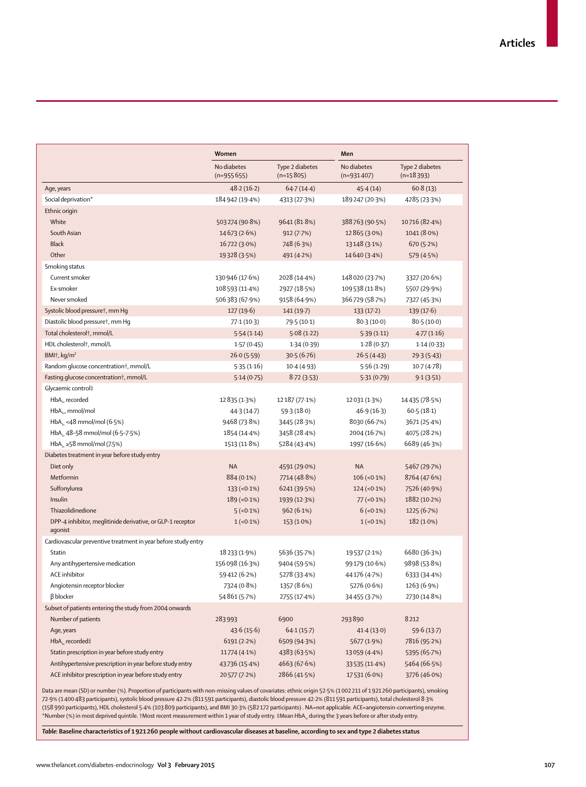|                                                                       | Women                      |                                | Men                         |                                |  |
|-----------------------------------------------------------------------|----------------------------|--------------------------------|-----------------------------|--------------------------------|--|
|                                                                       | No diabetes<br>$(n=95565)$ | Type 2 diabetes<br>$(n=15805)$ | No diabetes<br>$(n=931407)$ | Type 2 diabetes<br>$(n=18393)$ |  |
| Age, years                                                            | 48.2(16.2)                 | 64.7(14.4)                     | 45.4(14)                    | 60.8(13)                       |  |
| Social deprivation*                                                   | 184942 (19.4%)             | 4313 (27.3%)                   | 189247 (20.3%)              | 4285 (23.3%)                   |  |
| Ethnic origin                                                         |                            |                                |                             |                                |  |
| White                                                                 | 503 274 (90.8%)            | 9641 (81.8%)                   | 388763 (90.5%)              | 10716 (82.4%)                  |  |
| South Asian                                                           | 14673 (2.6%)               | 912 (7.7%)                     | 12865 (3.0%)                | $1041(8.0\%)$                  |  |
| <b>Black</b>                                                          | 16722 (3.0%)               | 748 (6.3%)                     | 13148 (3.1%)                | 670(5.2%)                      |  |
| Other                                                                 | 19328 (3.5%)               | 491 (4.2%)                     | 14640 (3.4%)                | 579 (4.5%)                     |  |
| Smoking status                                                        |                            |                                |                             |                                |  |
| Current smoker                                                        | 130 946 (17.6%)            | 2028 (14.4%)                   | 148020 (23.7%)              | 3327 (20.6%)                   |  |
| Ex-smoker                                                             | 108 593 (11-4%)            | 2927 (18.5%)                   | 109538 (11.8%)              | 5507 (29.9%)                   |  |
| Never smoked                                                          | 506383 (67.9%)             | 9158 (64.9%)                   | 366729 (58.7%)              | 7327 (45.3%)                   |  |
| Systolic blood pressuret, mm Hq                                       | 127(19.6)                  | 141(19.7)                      | 133(17.2)                   | 139(17.6)                      |  |
| Diastolic blood pressure†, mm Hq                                      | 77.1(10.3)                 | 79.5 (10.1)                    | 80.3(10.0)                  | 80.5(10.0)                     |  |
| Total cholesterol <sup>†</sup> , mmol/L                               | 5.54(1.14)                 | 5.08(1.22)                     | 5.39(1.11)                  | 4.77(1.16)                     |  |
| HDL cholesterol <sup>+</sup> , mmol/L                                 | 1.57(0.45)                 | 1.34(0.39)                     | 1.28(0.37)                  | 1.14(0.33)                     |  |
| BMI <sub>†</sub> , kg/m <sup>2</sup>                                  | 26.0(5.59)                 | 30.5(6.76)                     | 26.5(4.43)                  | 29.3(5.43)                     |  |
| Random glucose concentration <sup>†</sup> , mmol/L                    | 5.35(1.16)                 | 10.4(4.93)                     | 5.56(1.29)                  | 10.7(4.78)                     |  |
| Fasting glucose concentration <sup>†</sup> , mmol/L                   | 5.14(0.75)                 | 8.72(3.53)                     | 5.31(0.79)                  | 9.1(3.51)                      |  |
| Glycaemic control‡                                                    |                            |                                |                             |                                |  |
| $HbA_{1c}$ recorded                                                   | 12 8 35 (1.3%)             | 12187 (77.1%)                  | 12 0 31 (1 - 3%)            | 14435 (78.5%)                  |  |
| $HbA_{1d}$ , mmol/mol                                                 | 44.3 (14.7)                | 59.3(18.0)                     | 46.9(16.3)                  | 60.5(18.1)                     |  |
| HbA <sub>1c</sub> <48 mmol/mol (6.5%)                                 | 9468 (73.8%)               | 3445 (28.3%)                   | 8030 (66.7%)                | 3671 (25.4%)                   |  |
| HbA <sub>1</sub> , 48-58 mmol/mol (6.5-7.5%)                          | 1854 (14.4%)               | 3458 (28.4%)                   | 2004 (16.7%)                | 4075 (28.2%)                   |  |
| HbA <sub>1</sub> ≥58 mmol/mol (7.5%)                                  | 1513 (11.8%)               | 5284 (43.4%)                   | 1997 (16.6%)                | 6689 (46.3%)                   |  |
| Diabetes treatment in year before study entry                         |                            |                                |                             |                                |  |
| Diet only                                                             | <b>NA</b>                  | 4591 (29.0%)                   | <b>NA</b>                   | 5467 (29.7%)                   |  |
| Metformin                                                             | 884 (0.1%)                 | 7714 (48.8%)                   | $106 (-0.1\%)$              | 8764 (47.6%)                   |  |
| Sulfonylurea                                                          | $133 (-0.1\%)$             | 6241 (39.5%)                   | $124 (-0.1\%)$              | 7526 (40.9%)                   |  |
| Insulin                                                               | $189 (-0.1\%)$             | 1939 (12.3%)                   | $77 (-0.1\%)$               | 1882 (10.2%)                   |  |
| Thiazolidinedione                                                     | $5(-0.1\%)$                | 962(6.1%)                      | $6$ (<0.1%)                 | 1225 (6.7%)                    |  |
| DPP-4 inhibitor, meglitinide derivative, or GLP-1 receptor<br>agonist | $1(-0.1\%)$                | 153 (1.0%)                     | $1(-0.1\%)$                 | $182(1.0\%)$                   |  |
| Cardiovascular preventive treatment in year before study entry        |                            |                                |                             |                                |  |
| Statin                                                                | 18 233 (1.9%)              | 5636 (35.7%)                   | 19537 (2.1%)                | 6680 (36.3%)                   |  |
| Any antihypertensive medication                                       | 156098 (16.3%)             | 9404 (59.5%)                   | 99 179 (10.6%)              | 9898 (53.8%)                   |  |
| <b>ACE</b> inhibitor                                                  | 59412 (6.2%)               | 5278 (33.4%)                   | 44 176 (4.7%)               | 6333 (34.4%)                   |  |
| Angiotensin receptor blocker                                          | 7324 (0.8%)                | 1357 (8.6%)                    | 5276 (0.6%)                 | 1263 (6.9%)                    |  |
| <b>B</b> blocker                                                      | 54861 (5.7%)               | 2755 (17.4%)                   | 34455 (3.7%)                | 2730 (14.8%)                   |  |
| Subset of patients entering the study from 2004 onwards               |                            |                                |                             |                                |  |
| Number of patients                                                    | 283993                     | 6900                           | 293890                      | 8212                           |  |
| Age, years                                                            | 43.6(15.6)                 | 64.1(15.7)                     | 41.4(13.0)                  | 59.6 (13.7)                    |  |
| $HbA_{1c}$ recorded‡                                                  | 6191(2.2%)                 | 6509 (94.3%)                   | 5677 (1.9%)                 | 7816 (95.2%)                   |  |
| Statin prescription in year before study entry                        | 11774 (4.1%)               | 4383 (63.5%)                   | 13059 (4.4%)                | 5395 (65.7%)                   |  |
| Antihypertensive prescription in year before study entry              | 43736 (15.4%)              | 4663 (67.6%)                   | 33535 (11.4%)               | 5464 (66.5%)                   |  |
| ACE inhibitor prescription in year before study entry                 | 20577 (7.2%)               | 2866 (41.5%)                   | 17531 (6.0%)                | 3776 (46.0%)                   |  |

Data are mean (SD) or number (%). Proportion of participants with non-missing values of covariates: ethnic origin 52·5% (1 002 211 of 1 921 260 participants), smoking 72·9% (1 400 483 participants), systolic blood pressure 42·2% (811 591 participants), diastolic blood pressure 42·2% (811 591 participants), total cholesterol 8·3% (158 990 participants), HDL cholesterol 5·4% (103 809 participants), and BMI 30·3% (582 172 participants) . NA=not applicable. ACE=angiotensin-converting enzyme. \*Number (%) in most deprived quintile. †Most recent measurement within 1 year of study entry. ‡Mean HbA<sub>1c</sub> during the 3 years before or after study entry.

*Table***: Baseline characteristics of 1 921 260 people without cardiovascular diseases at baseline, according to sex and type 2 diabetes status**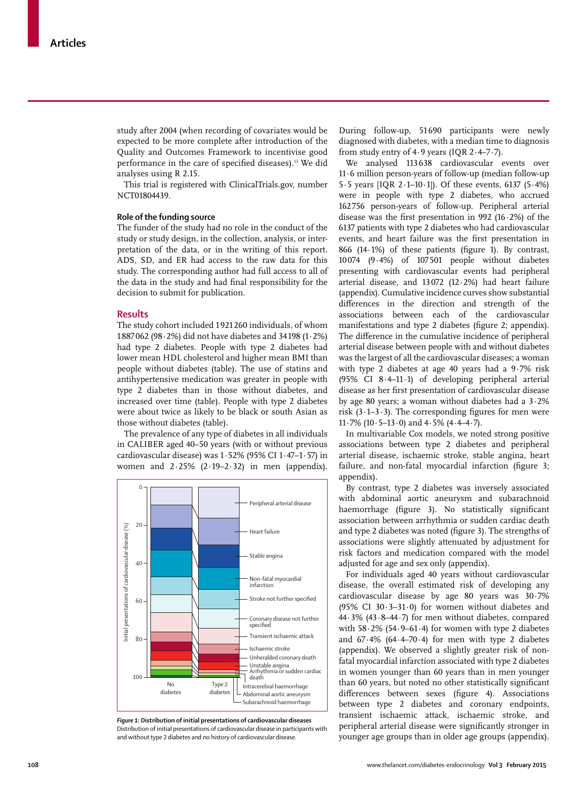study after 2004 (when recording of covariates would be expected to be more complete after introduction of the Quality and Outcomes Framework to incentivise good performance in the care of specified diseases).<sup>13</sup> We did analyses using R 2.15.

This trial is registered with ClinicalTrials.gov, number NCT01804439.

## **Role of the funding source**

The funder of the study had no role in the conduct of the study or study design, in the collection, analysis, or interpretation of the data, or in the writing of this report. ADS, SD, and ER had access to the raw data for this study. The corresponding author had full access to all of the data in the study and had final responsibility for the decision to submit for publication.

#### **Results**

The study cohort included 1 921 260 individuals, of whom 1 887 062 (98·2%) did not have diabetes and 34 198 (1·2%) had type 2 diabetes. People with type 2 diabetes had lower mean HDL cholesterol and higher mean BMI than people without diabetes (table). The use of statins and antihypertensive medication was greater in people with type 2 diabetes than in those without diabetes, and increased over time (table). People with type 2 diabetes were about twice as likely to be black or south Asian as those without diabetes (table).

The prevalence of any type of diabetes in all individuals in CALIBER aged 40–50 years (with or without previous cardiovascular disease) was 1·52% (95% CI 1·47–1·57) in women and  $2.25\%$  ( $2.19-2.32$ ) in men (appendix).



*Figure 1***: Distribution of initial presentations of cardiovascular diseases** Distribution of initial presentations of cardiovascular disease in participants with and without type 2 diabetes and no history of cardiovascular disease.

During follow-up, 51 690 participants were newly diagnosed with diabetes, with a median time to diagnosis from study entry of 4.9 years (IQR  $2.4-7.7$ ).

We analysed 113 638 cardiovascular events over 11·6 million person-years of follow-up (median follow-up 5·5 years [IQR 2·1–10·1]). Of these events, 6137 (5·4%) were in people with type 2 diabetes, who accrued 162 756 person-years of follow-up. Peripheral arterial disease was the first presentation in 992 (16 $\cdot$ 2%) of the 6137 patients with type 2 diabetes who had cardiovascular events, and heart failure was the first presentation in 866 (14 $\cdot$ 1%) of these patients (figure 1). By contrast, 10 074 (9·4%) of 107 501 people without diabetes presenting with cardiovascular events had peripheral arterial disease, and 13 072 (12·2%) had heart failure (appendix). Cumulative incidence curves show substantial differences in the direction and strength of the associations between each of the cardiovascular manifestations and type 2 diabetes (figure 2; appendix). The difference in the cumulative incidence of peripheral arterial disease between people with and without diabetes was the largest of all the cardiovascular diseases; a woman with type 2 diabetes at age 40 years had a 9·7% risk (95% CI 8·4–11·1) of developing peripheral arterial disease as her first presentation of cardiovascular disease by age 80 years; a woman without diabetes had a 3·2% risk  $(3.1-3.3)$ . The corresponding figures for men were  $11.7\%$  (10 $.5-13.0$ ) and  $4.5\%$  (4 $.4-4.7$ ).

In multivariable Cox models, we noted strong positive associations between type 2 diabetes and peripheral arterial disease, ischaemic stroke, stable angina, heart failure, and non-fatal myocardial infarction (figure 3; appendix).

By contrast, type 2 diabetes was inversely associated with abdominal aortic aneurysm and subarachnoid haemorrhage (figure 3). No statistically significant association between arrhythmia or sudden cardiac death and type 2 diabetes was noted (figure 3). The strengths of associations were slightly attenuated by adjustment for risk factors and medication compared with the model adjusted for age and sex only (appendix).

For individuals aged 40 years without cardiovascular disease, the overall estimated risk of developing any cardiovascular disease by age 80 years was 30·7% (95% CI 30 $\cdot$ 3-31 $\cdot$ 0) for women without diabetes and 44·3% (43·8–44·7) for men without diabetes, compared with  $58.2\%$  (54.9–61.4) for women with type 2 diabetes and  $67.4\%$  (64 $\cdot$ 4-70 $\cdot$ 4) for men with type 2 diabetes (appendix). We observed a slightly greater risk of nonfatal myocardial infarction associated with type 2 diabetes in women younger than 60 years than in men younger than 60 years, but noted no other statistically significant differences between sexes (figure 4). Associations between type 2 diabetes and coronary endpoints, transient ischaemic attack, ischaemic stroke, and peripheral arterial disease were significantly stronger in younger age groups than in older age groups (appendix).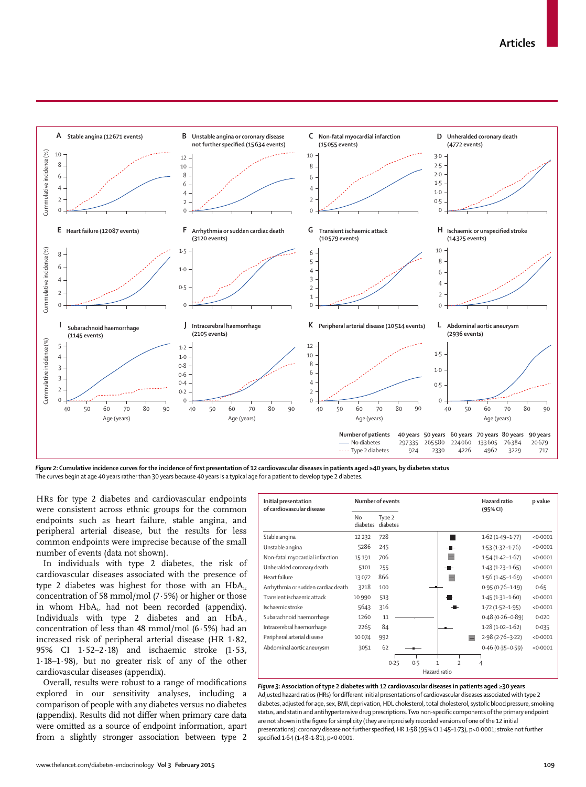

Figure 2: Cumulative incidence curves for the incidence of first presentation of 12 cardiovascular diseases in patients aged ≥40 years, by diabetes status The curves begin at age 40 years rather than 30 years because 40 years is a typical age for a patient to develop type 2 diabetes.

HRs for type 2 diabetes and cardiovascular endpoints were consistent across ethnic groups for the common endpoints such as heart failure, stable angina, and peripheral arterial disease, but the results for less common endpoints were imprecise because of the small number of events (data not shown).

In individuals with type 2 diabetes, the risk of cardiovascular diseases associated with the presence of type 2 diabetes was highest for those with an  $HbA_{1c}$ concentration of 58 mmol/mol (7·5%) or higher or those in whom  $HbA<sub>i</sub>$  had not been recorded (appendix). Individuals with type 2 diabetes and an  $HbA_1c$ concentration of less than 48 mmol/mol (6·5%) had an increased risk of peripheral arterial disease (HR 1·82, 95% CI 1·52–2·18) and ischaemic stroke (1·53, 1·18–1·98), but no greater risk of any of the other cardiovascular diseases (appendix).

Overall, results were robust to a range of modifications explored in our sensitivity analyses, including a comparison of people with any diabetes versus no diabetes (appendix). Results did not differ when primary care data were omitted as a source of endpoint information, apart

| Initial presentation<br>of cardiovascular disease | Number of events      |                    |     | Hazard ratio<br>(95% CI) | p value             |          |
|---------------------------------------------------|-----------------------|--------------------|-----|--------------------------|---------------------|----------|
|                                                   | <b>No</b><br>diabetes | Type 2<br>diabetes |     |                          |                     |          |
| Stable angina                                     | 12 2 3 2              | 728                |     |                          | $1.62(1.49-1.77)$   | < 0.0001 |
| Unstable angina                                   | 5286                  | 245                |     |                          | $1.53(1.32 - 1.76)$ | < 0.0001 |
| Non-fatal myocardial infarction                   | 15191                 | 706                |     |                          | $1.54(1.42 - 1.67)$ | < 0.0001 |
| Unheralded coronary death                         | 5101                  | 255                |     |                          | $1.43(1.23 - 1.65)$ | < 0.0001 |
| Heart failure                                     | 13072                 | 866                |     |                          | $1.56(1.45 - 1.69)$ | < 0.0001 |
| Arrhythmia or sudden cardiac death                | 3218                  | 100                |     |                          | $0.95(0.76 - 1.19)$ | 0.65     |
| Transient ischaemic attack                        | 10 9 9 0              | 513                |     |                          | $1.45(1.31 - 1.60)$ | < 0.0001 |
| Ischaemic stroke                                  | 5643                  | 316                |     |                          | $1.72(1.52 - 1.95)$ | < 0.0001 |
| Subarachnoid haemorrhage                          | 1260                  | 11                 |     |                          | $0.48(0.26 - 0.89)$ | 0.020    |
| Intracerebral haemorrhage                         | 2265                  | 84                 |     |                          | $1.28(1.02 - 1.62)$ | 0.035    |
| Peripheral arterial disease                       | 10074                 | 992                |     |                          | $2.98(2.76 - 3.22)$ | < 0.0001 |
| Abdominal aortic aneurysm                         | 3051                  | 62                 |     |                          | $0.46(0.35 - 0.59)$ | < 0.0001 |
|                                                   |                       | 0.25               | 0.5 | $\mathcal{P}$            | 4                   |          |
|                                                   | Hazard ratio          |                    |     |                          |                     |          |

*Figure 3***: Association of type 2 diabetes with 12 cardiovascular diseases in patients aged ≥30 years** Adjusted hazard ratios (HRs) for different initial presentations of cardiovascular diseases associated with type 2 diabetes, adjusted for age, sex, BMI, deprivation, HDL cholesterol, total cholesterol, systolic blood pressure, smoking status, and statin and antihypertensive drug prescriptions. Two non-specific components of the primary endpoint are not shown in the figure for simplicity (they are inprecisely recorded versions of one of the 12 initial presentations): coronary disease not further specified, HR 1·58 (95% CI 1·45-1·73), p<0·0001; stroke not further specified 1·64 (1·48-1·81), p<0·0001.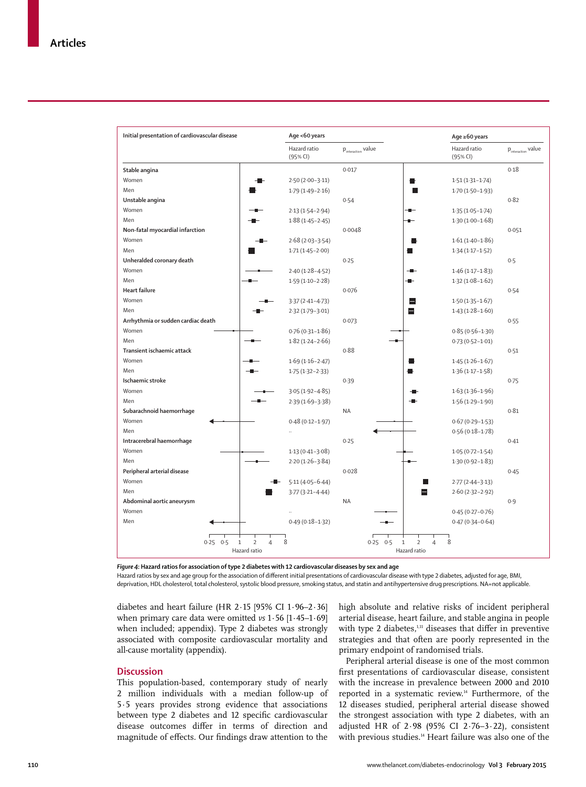| Initial presentation of cardiovascular disease | Age <60 years            |                                |                                       | Age ≥60 years                  |  |
|------------------------------------------------|--------------------------|--------------------------------|---------------------------------------|--------------------------------|--|
|                                                | Hazard ratio<br>(95% CI) | $p_{\text{interaction}}$ value | Hazard ratio<br>(95% CI)              | $p_{\text{interaction}}$ value |  |
| Stable angina                                  |                          | 0.017                          |                                       | 0.18                           |  |
| Women                                          | $2.50(2.00-3.11)$        |                                | $1.51(1.31 - 1.74)$                   |                                |  |
| Men                                            | $1.79(1.49 - 2.16)$      |                                | $1.70(1.50-1.93)$                     |                                |  |
| Unstable angina                                |                          | 0.54                           |                                       | 0.82                           |  |
| Women                                          | $2.13(1.54 - 2.94)$      |                                | $1.35(1.05 - 1.74)$                   |                                |  |
| Men                                            | $1.88(1.45 - 2.45)$      |                                | $1.30(1.00-1.68)$                     |                                |  |
| Non-fatal myocardial infarction                |                          | 0.0048                         |                                       | 0.051                          |  |
| Women                                          | $2.68(2.03 - 3.54)$      | ₩                              | $1.61(1.40 - 1.86)$                   |                                |  |
| Men                                            | $1.71(1.45 - 2.00)$      |                                | $1.34(1.17 - 1.52)$                   |                                |  |
| Unheralded coronary death                      |                          | 0.25                           |                                       | 0.5                            |  |
| Women                                          | $2.40(1.28 - 4.52)$      | $-$                            | $1.46(1.17 - 1.83)$                   |                                |  |
| Men                                            | $1.59(1.10 - 2.28)$      |                                | $1.32(1.08-1.62)$                     |                                |  |
| <b>Heart failure</b>                           |                          | 0.076                          |                                       | 0.54                           |  |
| Women                                          | $3.37(2.41 - 4.73)$      | ⊟                              | $1.50(1.35 - 1.67)$                   |                                |  |
| Men                                            | $2.32(1.79 - 3.01)$      | ⋿                              | $1.43(1.28 - 1.60)$                   |                                |  |
| Arrhythmia or sudden cardiac death             |                          | 0.073                          |                                       | 0.55                           |  |
| Women                                          | $0.76(0.31 - 1.86)$      |                                | $0.85(0.56 - 1.30)$                   |                                |  |
| Men                                            | $1.82(1.24 - 2.66)$      |                                | $0.73(0.52 - 1.01)$                   |                                |  |
| Transient ischaemic attack                     |                          | 0.88                           |                                       | 0.51                           |  |
| Women                                          | $1.69(1.16 - 2.47)$      |                                | $1.45(1.26 - 1.67)$                   |                                |  |
| Men                                            | $1.75(1.32 - 2.33)$      | g,                             | $1.36(1.17 - 1.58)$                   |                                |  |
| Ischaemic stroke                               |                          | 0.39                           |                                       | 0.75                           |  |
| Women                                          | $3.05(1.92 - 4.85)$      |                                | $1.63(1.36 - 1.96)$                   |                                |  |
| Men                                            | 2.39 (1.69-3.38)         |                                | $1.56(1.29 - 1.90)$                   |                                |  |
| Subarachnoid haemorrhage                       |                          | <b>NA</b>                      |                                       | 0.81                           |  |
| Women                                          | $0.48(0.12 - 1.97)$      |                                | $0.67(0.29 - 1.53)$                   |                                |  |
| Men                                            | à.                       |                                | $0.56(0.18 - 1.78)$                   |                                |  |
| Intracerebral haemorrhage                      |                          | 0.25                           |                                       | 0.41                           |  |
| Women                                          | $1.13(0.41 - 3.08)$      |                                | $1.05(0.72 - 1.54)$                   |                                |  |
| Men                                            | $2.20(1.26-3.84)$        |                                | $1.30(0.92 - 1.83)$                   |                                |  |
| Peripheral arterial disease                    |                          | 0.028                          |                                       | 0.45                           |  |
| Women                                          | $5.11(4.05 - 6.44)$      |                                | $2.77(2.44 - 3.13)$                   |                                |  |
| Men                                            | $3.77(3.21 - 4.44)$      |                                | $2.60(2.32 - 2.92)$                   |                                |  |
| Abdominal aortic aneurysm                      |                          | <b>NA</b>                      |                                       | 0.9                            |  |
| Women                                          |                          |                                | $0.45(0.27 - 0.76)$                   |                                |  |
| Men                                            | $0.49(0.18 - 1.32)$      |                                | $0.47(0.34 - 0.64)$                   |                                |  |
|                                                |                          |                                |                                       |                                |  |
| $\overline{2}$<br>$0.25$ $0.5$<br>$1\,$        | 8<br>$\overline{4}$      | $0.25$ $0.5$<br>$\mathbf{1}$   | 8<br>$\overline{2}$<br>$\overline{4}$ |                                |  |
| Hazard ratio                                   |                          | Hazard ratio                   |                                       |                                |  |

*Figure 4***: Hazard ratios for association of type 2 diabetes with 12 cardiovascular diseases by sex and age**

Hazard ratios by sex and age group for the association of different initial presentations of cardiovascular disease with type 2 diabetes, adjusted for age, BMI, deprivation, HDL cholesterol, total cholesterol, systolic blood pressure, smoking status, and statin and antihypertensive drug prescriptions. NA=not applicable.

diabetes and heart failure (HR 2·15 [95% CI 1·96–2·36] when primary care data were omitted *vs* 1·56 [1·45–1·69] when included; appendix). Type 2 diabetes was strongly associated with composite cardiovascular mortality and all-cause mortality (appendix).

#### **Discussion**

This population-based, contemporary study of nearly 2 million individuals with a median follow-up of 5·5 years provides strong evidence that associations between type 2 diabetes and 12 specific cardiovascular disease outcomes differ in terms of direction and magnitude of effects. Our findings draw attention to the high absolute and relative risks of incident peripheral arterial disease, heart failure, and stable angina in people with type 2 diabetes, $1,11$  diseases that differ in preventive strategies and that often are poorly represented in the primary endpoint of randomised trials.

Peripheral arterial disease is one of the most common first presentations of cardiovascular disease, consistent with the increase in prevalence between 2000 and 2010 reported in a systematic review.14 Furthermore, of the 12 diseases studied, peripheral arterial disease showed the strongest association with type 2 diabetes, with an adjusted HR of 2·98 (95% CI 2·76–3·22), consistent with previous studies.<sup>14</sup> Heart failure was also one of the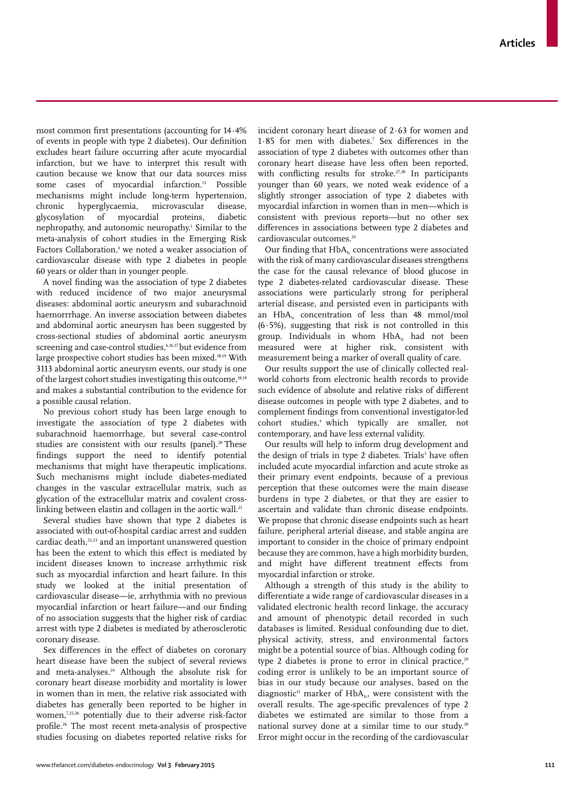most common first presentations (accounting for  $14.4%$ of events in people with type 2 diabetes). Our definition excludes heart failure occurring after acute myocardial infarction, but we have to interpret this result with caution because we know that our data sources miss some cases of myocardial infarction.<sup>15</sup> Possible mechanisms might include long-term hypertension,<br>chronic hyperglycaemia, microvascular disease, chronic hyperglycaemia, glycosylation of myocardial proteins, diabetic nephropathy, and autonomic neuropathy.1 Similar to the meta-analysis of cohort studies in the Emerging Risk Factors Collaboration,<sup>4</sup> we noted a weaker association of cardiovascular disease with type 2 diabetes in people 60 years or older than in younger people.

A novel finding was the association of type 2 diabetes with reduced incidence of two major aneurysmal diseases: abdominal aortic aneurysm and subarachnoid haemorrrhage. An inverse association between diabetes and abdominal aortic aneurysm has been suggested by cross-sectional studies of abdominal aortic aneurysm screening and case-control studies,<sup>6,16,17</sup> but evidence from large prospective cohort studies has been mixed.18,19 With 3113 abdominal aortic aneurysm events, our study is one of the largest cohort studies investigating this outcome,<sup>18,19</sup> and makes a substantial contribution to the evidence for a possible causal relation.

No previous cohort study has been large enough to investigate the association of type 2 diabetes with subarachnoid haemorrhage, but several case-control studies are consistent with our results (panel).<sup>20</sup> These findings support the need to identify potential mechanisms that might have therapeutic implications. Such mechanisms might include diabetes-mediated changes in the vascular extracellular matrix, such as glycation of the extracellular matrix and covalent crosslinking between elastin and collagen in the aortic wall.<sup>21</sup>

Several studies have shown that type 2 diabetes is associated with out-of-hospital cardiac arrest and sudden cardiac death,<sup>22,23</sup> and an important unanswered question has been the extent to which this effect is mediated by incident diseases known to increase arrhythmic risk such as myocardial infarction and heart failure. In this study we looked at the initial presentation of cardiovascular disease—ie, arrhythmia with no previous myocardial infarction or heart failure—and our finding of no association suggests that the higher risk of cardiac arrest with type 2 diabetes is mediated by atherosclerotic coronary disease.

Sex differences in the effect of diabetes on coronary heart disease have been the subject of several reviews and meta-analyses.<sup>24</sup> Although the absolute risk for coronary heart disease morbidity and mortality is lower in women than in men, the relative risk associated with diabetes has generally been reported to be higher in women,7,25,26 potentially due to their adverse risk-factor profile.<sup>26</sup> The most recent meta-analysis of prospective studies focusing on diabetes reported relative risks for incident coronary heart disease of 2·63 for women and  $1.85$  for men with diabetes.<sup>7</sup> Sex differences in the association of type 2 diabetes with outcomes other than coronary heart disease have less often been reported, with conflicting results for stroke.<sup> $27,28$ </sup> In participants younger than 60 years, we noted weak evidence of a slightly stronger association of type 2 diabetes with myocardial infarction in women than in men—which is consistent with previous reports—but no other sex differences in associations between type 2 diabetes and cardiovascular outcomes.<sup>24</sup>

Our finding that HbA<sub>1</sub> concentrations were associated with the risk of many cardiovascular diseases strengthens the case for the causal relevance of blood glucose in type 2 diabetes-related cardiovascular disease. These associations were particularly strong for peripheral arterial disease, and persisted even in participants with an  $HbA<sub>1c</sub>$  concentration of less than 48 mmol/mol  $(6.5\%)$ , suggesting that risk is not controlled in this group. Individuals in whom  $HbA<sub>i</sub>$  had not been measured were at higher risk, consistent with measurement being a marker of overall quality of care.

Our results support the use of clinically collected realworld cohorts from electronic health records to provide such evidence of absolute and relative risks of different disease outcomes in people with type 2 diabetes, and to complement findings from conventional investigator-led cohort studies,<sup>4</sup> which typically are smaller, not contemporary, and have less external validity.

Our results will help to inform drug development and the design of trials in type 2 diabetes. Trials<sup>3</sup> have often included acute myocardial infarction and acute stroke as their primary event endpoints, because of a previous perception that these outcomes were the main disease burdens in type 2 diabetes, or that they are easier to ascertain and validate than chronic disease endpoints. We propose that chronic disease endpoints such as heart failure, peripheral arterial disease, and stable angina are important to consider in the choice of primary endpoint because they are common, have a high morbidity burden, and might have different treatment effects from myocardial infarction or stroke.

Although a strength of this study is the ability to differentiate a wide range of cardiovascular diseases in a validated electronic health record linkage, the accuracy and amount of phenotypic detail recorded in such databases is limited. Residual confounding due to diet, physical activity, stress, and environmental factors might be a potential source of bias. Although coding for type 2 diabetes is prone to error in clinical practice, $29$ coding error is unlikely to be an important source of bias in our study because our analyses, based on the diagnostic<sup>11</sup> marker of  $HbA_{1c}$ , were consistent with the overall results. The age-specific prevalences of type 2 diabetes we estimated are similar to those from a national survey done at a similar time to our study.30 Error might occur in the recording of the cardiovascular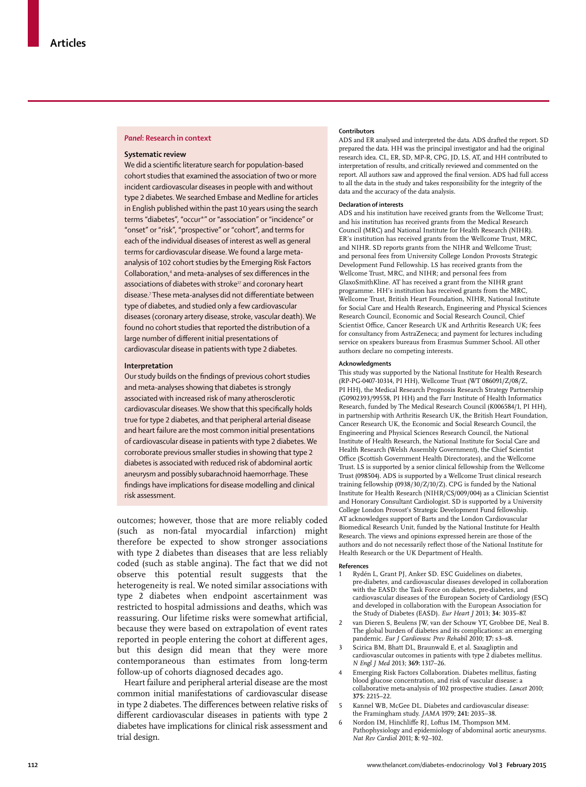#### *Panel***: Research in context**

## **Systematic review**

We did a scientific literature search for population-based cohort studies that examined the association of two or more incident cardiovascular diseases in people with and without type 2 diabetes. We searched Embase and Medline for articles in English published within the past 10 years using the search terms "diabetes", "occur\*" or "association" or "incidence" or "onset" or "risk", "prospective" or "cohort", and terms for each of the individual diseases of interest as well as general terms for cardiovascular disease. We found a large metaanalysis of 102 cohort studies by the Emerging Risk Factors Collaboration,<sup>4</sup> and meta-analyses of sex differences in the associations of diabetes with stroke<sup>27</sup> and coronary heart disease.<sup>7</sup> These meta-analyses did not differentiate between type of diabetes, and studied only a few cardiovascular diseases (coronary artery disease, stroke, vascular death). We found no cohort studies that reported the distribution of a large number of different initial presentations of cardiovascular disease in patients with type 2 diabetes.

#### **Interpretation**

Our study builds on the findings of previous cohort studies and meta-analyses showing that diabetes is strongly associated with increased risk of many atherosclerotic cardiovascular diseases. We show that this specifically holds true for type 2 diabetes, and that peripheral arterial disease and heart failure are the most common initial presentations of cardiovascular disease in patients with type 2 diabetes. We corroborate previous smaller studies in showing that type 2 diabetes is associated with reduced risk of abdominal aortic aneurysm and possibly subarachnoid haemorrhage. These findings have implications for disease modelling and clinical risk assessment.

outcomes; however, those that are more reliably coded (such as non-fatal myocardial infarction) might therefore be expected to show stronger associations with type 2 diabetes than diseases that are less reliably coded (such as stable angina). The fact that we did not observe this potential result suggests that the heterogeneity is real. We noted similar associations with type 2 diabetes when endpoint ascertainment was restricted to hospital admissions and deaths, which was reassuring. Our lifetime risks were somewhat artificial, because they were based on extrapolation of event rates reported in people entering the cohort at different ages, but this design did mean that they were more contemporaneous than estimates from long-term follow-up of cohorts diagnosed decades ago.

Heart failure and peripheral arterial disease are the most common initial manifestations of cardiovascular disease in type 2 diabetes. The differences between relative risks of different cardiovascular diseases in patients with type 2 diabetes have implications for clinical risk assessment and trial design.

#### **Contributors**

ADS and ER analysed and interpreted the data. ADS drafted the report. SD prepared the data. HH was the principal investigator and had the original research idea. CL, ER, SD, MP-R, CPG, JD, LS, AT, and HH contributed to interpretation of results, and critically reviewed and commented on the report. All authors saw and approved the final version. ADS had full access to all the data in the study and takes responsibility for the integrity of the data and the accuracy of the data analysis.

#### **Declaration of interests**

ADS and his institution have received grants from the Wellcome Trust; and his institution has received grants from the Medical Research Council (MRC) and National Institute for Health Research (NIHR). ER's institution has received grants from the Wellcome Trust, MRC, and NIHR. SD reports grants from the NIHR and Wellcome Trust; and personal fees from University College London Provosts Strategic Development Fund Fellowship. LS has received grants from the Wellcome Trust, MRC, and NIHR; and personal fees from GlaxoSmithKline. AT has received a grant from the NIHR grant programme. HH's institution has received grants from the MRC, Wellcome Trust, British Heart Foundation, NIHR, National Institute for Social Care and Health Research, Engineering and Physical Sciences Research Council, Economic and Social Research Council, Chief Scientist Office, Cancer Research UK and Arthritis Research UK; fees for consultancy from AstraZeneca; and payment for lectures including service on speakers bureaus from Erasmus Summer School. All other authors declare no competing interests.

#### **Acknowledgments**

This study was supported by the National Institute for Health Research (RP-PG-0407-10314, PI HH), Wellcome Trust (WT 086091/Z/08/Z, PI HH), the Medical Research Prognosis Research Strategy Partnership (G0902393/99558, PI HH) and the Farr Institute of Health Informatics Research, funded by The Medical Research Council (K006584/1, PI HH), in partnership with Arthritis Research UK, the British Heart Foundation, Cancer Research UK, the Economic and Social Research Council, the Engineering and Physical Sciences Research Council, the National Institute of Health Research, the National Institute for Social Care and Health Research (Welsh Assembly Government), the Chief Scientist Office (Scottish Government Health Directorates), and the Wellcome Trust. LS is supported by a senior clinical fellowship from the Wellcome Trust (098504). ADS is supported by a Wellcome Trust clinical research training fellowship (0938/30/Z/10/Z). CPG is funded by the National Institute for Health Research (NIHR/CS/009/004) as a Clinician Scientist and Honorary Consultant Cardiologist. SD is supported by a University College London Provost's Strategic Development Fund fellowship. AT acknowledges support of Barts and the London Cardiovascular Biomedical Research Unit, funded by the National Institute for Health Research. The views and opinions expressed herein are those of the authors and do not necessarily reflect those of the National Institute for Health Research or the UK Department of Health.

#### **References**

- Rydén L, Grant PJ, Anker SD. ESC Guidelines on diabetes, pre-diabetes, and cardiovascular diseases developed in collaboration with the EASD: the Task Force on diabetes, pre-diabetes, and cardiovascular diseases of the European Society of Cardiology (ESC) and developed in collaboration with the European Association for the Study of Diabetes (EASD). *Eur Heart J* 2013; **34:** 3035–87.
- 2 van Dieren S, Beulens JW, van der Schouw YT, Grobbee DE, Neal B. The global burden of diabetes and its complications: an emerging pandemic. *Eur J Cardiovasc Prev Rehabil* 2010; **17:** s3–s8.
- Scirica BM, Bhatt DL, Braunwald E, et al. Saxagliptin and cardiovascular outcomes in patients with type 2 diabetes mellitus. *N Engl J Med* 2013; **369:** 1317–26.
- 4 Emerging Risk Factors Collaboration. Diabetes mellitus, fasting blood glucose concentration, and risk of vascular disease: a collaborative meta-analysis of 102 prospective studies. *Lancet* 2010; **375:** 2215–22.
- Kannel WB, McGee DL. Diabetes and cardiovascular disease: the Framingham study. *JAMA* 1979; **241:** 2035–38.
- Nordon IM, Hinchliffe RJ, Loftus IM, Thompson MM. Pathophysiology and epidemiology of abdominal aortic aneurysms. *Nat Rev Cardiol* 2011; **8:** 92–102.